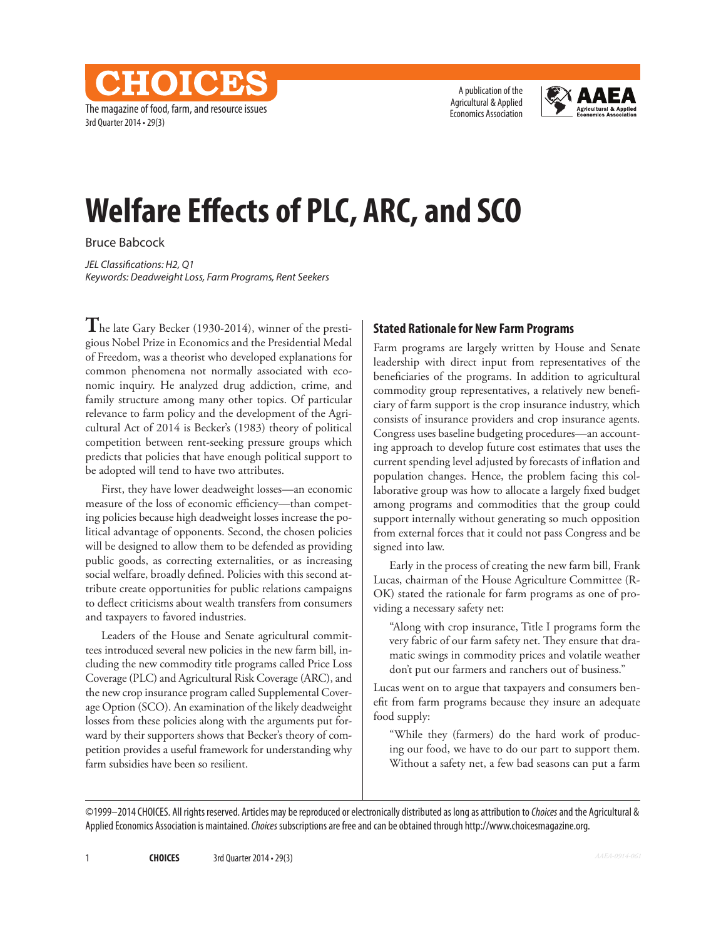The magazine of food, farm, and resource issues 3rd Quarter 2014 • 29(3)

**CHOICES** 

A publication of the Agricultural & Applied Economics Association



# **Welfare Effects of PLC, ARC, and SCO**

Bruce Babcock

*JEL Classifications: H2, Q1 Keywords: Deadweight Loss, Farm Programs, Rent Seekers*

**T**he late Gary Becker (1930-2014), winner of the prestigious Nobel Prize in Economics and the Presidential Medal of Freedom, was a theorist who developed explanations for common phenomena not normally associated with economic inquiry. He analyzed drug addiction, crime, and family structure among many other topics. Of particular relevance to farm policy and the development of the Agricultural Act of 2014 is Becker's (1983) theory of political competition between rent-seeking pressure groups which predicts that policies that have enough political support to be adopted will tend to have two attributes.

First, they have lower deadweight losses—an economic measure of the loss of economic efficiency—than competing policies because high deadweight losses increase the political advantage of opponents. Second, the chosen policies will be designed to allow them to be defended as providing public goods, as correcting externalities, or as increasing social welfare, broadly defined. Policies with this second attribute create opportunities for public relations campaigns to deflect criticisms about wealth transfers from consumers and taxpayers to favored industries.

Leaders of the House and Senate agricultural committees introduced several new policies in the new farm bill, including the new commodity title programs called Price Loss Coverage (PLC) and Agricultural Risk Coverage (ARC), and the new crop insurance program called Supplemental Coverage Option (SCO). An examination of the likely deadweight losses from these policies along with the arguments put forward by their supporters shows that Becker's theory of competition provides a useful framework for understanding why farm subsidies have been so resilient.

#### **Stated Rationale for New Farm Programs**

Farm programs are largely written by House and Senate leadership with direct input from representatives of the beneficiaries of the programs. In addition to agricultural commodity group representatives, a relatively new beneficiary of farm support is the crop insurance industry, which consists of insurance providers and crop insurance agents. Congress uses baseline budgeting procedures—an accounting approach to develop future cost estimates that uses the current spending level adjusted by forecasts of inflation and population changes. Hence, the problem facing this collaborative group was how to allocate a largely fixed budget among programs and commodities that the group could support internally without generating so much opposition from external forces that it could not pass Congress and be signed into law.

Early in the process of creating the new farm bill, Frank Lucas, chairman of the House Agriculture Committee (R-OK) stated the rationale for farm programs as one of providing a necessary safety net:

"Along with crop insurance, Title I programs form the very fabric of our farm safety net. They ensure that dramatic swings in commodity prices and volatile weather don't put our farmers and ranchers out of business."

Lucas went on to argue that taxpayers and consumers benefit from farm programs because they insure an adequate food supply:

"While they (farmers) do the hard work of producing our food, we have to do our part to support them. Without a safety net, a few bad seasons can put a farm

©1999–2014 CHOICES. All rights reserved. Articles may be reproduced or electronically distributed as long as attribution to *Choices* and the Agricultural & Applied Economics Association is maintained. *Choices* subscriptions are free and can be obtained through http://www.choicesmagazine.org.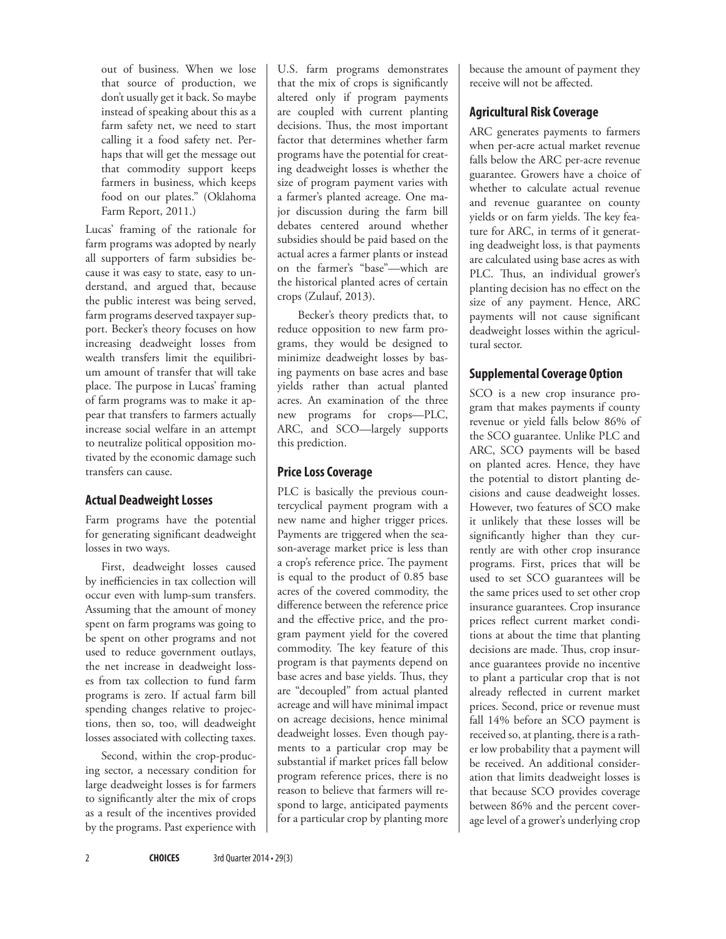out of business. When we lose that source of production, we don't usually get it back. So maybe instead of speaking about this as a farm safety net, we need to start calling it a food safety net. Perhaps that will get the message out that commodity support keeps farmers in business, which keeps food on our plates." (Oklahoma Farm Report, 2011.)

Lucas' framing of the rationale for farm programs was adopted by nearly all supporters of farm subsidies because it was easy to state, easy to understand, and argued that, because the public interest was being served, farm programs deserved taxpayer support. Becker's theory focuses on how increasing deadweight losses from wealth transfers limit the equilibrium amount of transfer that will take place. The purpose in Lucas' framing of farm programs was to make it appear that transfers to farmers actually increase social welfare in an attempt to neutralize political opposition motivated by the economic damage such transfers can cause.

#### **Actual Deadweight Losses**

Farm programs have the potential for generating significant deadweight losses in two ways.

First, deadweight losses caused by inefficiencies in tax collection will occur even with lump-sum transfers. Assuming that the amount of money spent on farm programs was going to be spent on other programs and not used to reduce government outlays, the net increase in deadweight losses from tax collection to fund farm programs is zero. If actual farm bill spending changes relative to projections, then so, too, will deadweight losses associated with collecting taxes.

Second, within the crop-producing sector, a necessary condition for large deadweight losses is for farmers to significantly alter the mix of crops as a result of the incentives provided by the programs. Past experience with

U.S. farm programs demonstrates that the mix of crops is significantly altered only if program payments are coupled with current planting decisions. Thus, the most important factor that determines whether farm programs have the potential for creating deadweight losses is whether the size of program payment varies with a farmer's planted acreage. One major discussion during the farm bill debates centered around whether subsidies should be paid based on the actual acres a farmer plants or instead on the farmer's "base"—which are the historical planted acres of certain crops (Zulauf, 2013).

 Becker's theory predicts that, to reduce opposition to new farm programs, they would be designed to minimize deadweight losses by basing payments on base acres and base yields rather than actual planted acres. An examination of the three new programs for crops—PLC, ARC, and SCO—largely supports this prediction.

#### **Price Loss Coverage**

PLC is basically the previous countercyclical payment program with a new name and higher trigger prices. Payments are triggered when the season-average market price is less than a crop's reference price. The payment is equal to the product of 0.85 base acres of the covered commodity, the difference between the reference price and the effective price, and the program payment yield for the covered commodity. The key feature of this program is that payments depend on base acres and base yields. Thus, they are "decoupled" from actual planted acreage and will have minimal impact on acreage decisions, hence minimal deadweight losses. Even though payments to a particular crop may be substantial if market prices fall below program reference prices, there is no reason to believe that farmers will respond to large, anticipated payments for a particular crop by planting more

because the amount of payment they receive will not be affected.

## **Agricultural Risk Coverage**

ARC generates payments to farmers when per-acre actual market revenue falls below the ARC per-acre revenue guarantee. Growers have a choice of whether to calculate actual revenue and revenue guarantee on county yields or on farm yields. The key feature for ARC, in terms of it generating deadweight loss, is that payments are calculated using base acres as with PLC. Thus, an individual grower's planting decision has no effect on the size of any payment. Hence, ARC payments will not cause significant deadweight losses within the agricultural sector.

## **Supplemental Coverage Option**

SCO is a new crop insurance program that makes payments if county revenue or yield falls below 86% of the SCO guarantee. Unlike PLC and ARC, SCO payments will be based on planted acres. Hence, they have the potential to distort planting decisions and cause deadweight losses. However, two features of SCO make it unlikely that these losses will be significantly higher than they currently are with other crop insurance programs. First, prices that will be used to set SCO guarantees will be the same prices used to set other crop insurance guarantees. Crop insurance prices reflect current market conditions at about the time that planting decisions are made. Thus, crop insurance guarantees provide no incentive to plant a particular crop that is not already reflected in current market prices. Second, price or revenue must fall 14% before an SCO payment is received so, at planting, there is a rather low probability that a payment will be received. An additional consideration that limits deadweight losses is that because SCO provides coverage between 86% and the percent coverage level of a grower's underlying crop